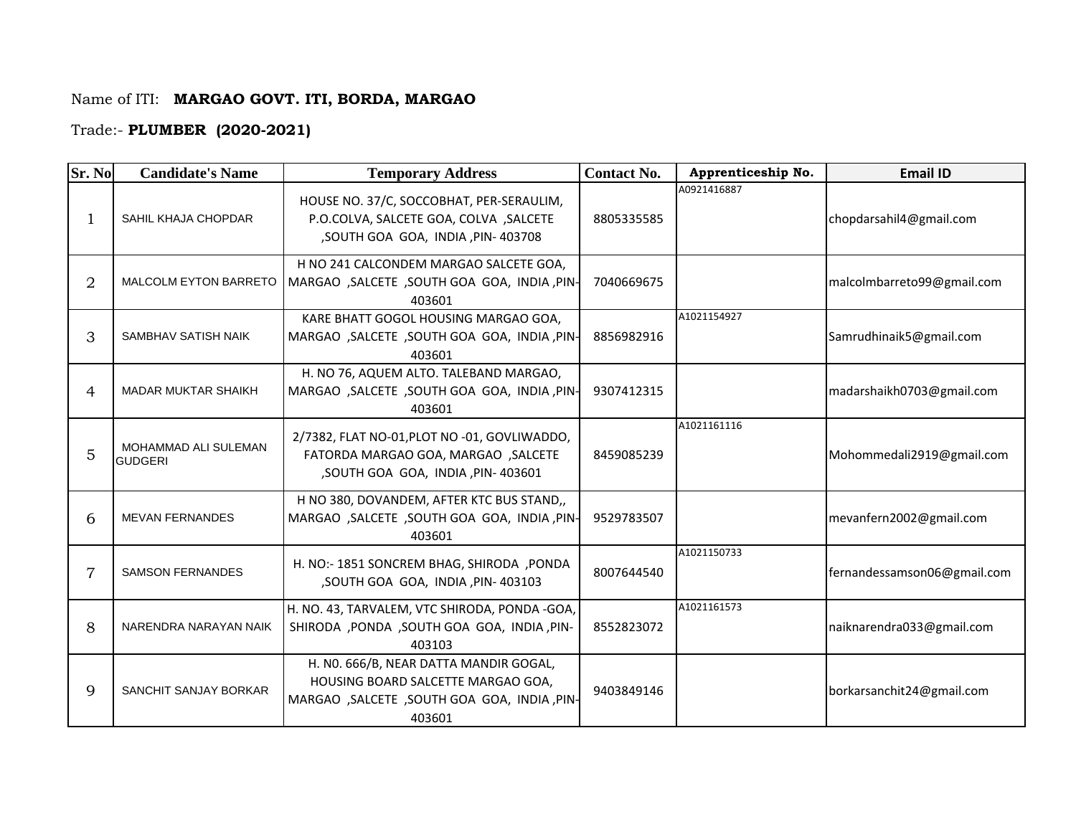## Name of ITI: **MARGAO GOVT. ITI, BORDA, MARGAO**

## Trade:- **PLUMBER (2020-2021)**

| Sr. No         | <b>Candidate's Name</b>                | <b>Temporary Address</b>                                                                                                                | <b>Contact No.</b> | Apprenticeship No. | <b>Email ID</b>             |
|----------------|----------------------------------------|-----------------------------------------------------------------------------------------------------------------------------------------|--------------------|--------------------|-----------------------------|
| 1              | SAHIL KHAJA CHOPDAR                    | HOUSE NO. 37/C, SOCCOBHAT, PER-SERAULIM,<br>P.O.COLVA, SALCETE GOA, COLVA, SALCETE<br>,SOUTH GOA GOA, INDIA, PIN-403708                 | 8805335585         | A0921416887        | chopdarsahil4@gmail.com     |
| $\overline{2}$ | <b>MALCOLM EYTON BARRETO</b>           | H NO 241 CALCONDEM MARGAO SALCETE GOA,<br>MARGAO , SALCETE , SOUTH GOA GOA, INDIA, PIN-<br>403601                                       | 7040669675         |                    | malcolmbarreto99@gmail.com  |
| 3              | SAMBHAV SATISH NAIK                    | KARE BHATT GOGOL HOUSING MARGAO GOA,<br>MARGAO , SALCETE , SOUTH GOA GOA, INDIA, PIN-<br>403601                                         | 8856982916         | A1021154927        | Samrudhinaik5@gmail.com     |
| 4              | <b>MADAR MUKTAR SHAIKH</b>             | H. NO 76, AQUEM ALTO. TALEBAND MARGAO,<br>MARGAO , SALCETE , SOUTH GOA GOA, INDIA, PIN-<br>403601                                       | 9307412315         |                    | madarshaikh0703@gmail.com   |
| 5              | MOHAMMAD ALI SULEMAN<br><b>GUDGERI</b> | 2/7382, FLAT NO-01, PLOT NO -01, GOVLIWADDO,<br>FATORDA MARGAO GOA, MARGAO , SALCETE<br>, SOUTH GOA GOA, INDIA, PIN- 403601             | 8459085239         | A1021161116        | Mohommedali2919@gmail.com   |
| 6              | <b>MEVAN FERNANDES</b>                 | H NO 380, DOVANDEM, AFTER KTC BUS STAND,,<br>MARGAO , SALCETE , SOUTH GOA GOA, INDIA, PIN-<br>403601                                    | 9529783507         |                    | mevanfern2002@gmail.com     |
| 7              | <b>SAMSON FERNANDES</b>                | H. NO:- 1851 SONCREM BHAG, SHIRODA , PONDA<br>,SOUTH GOA GOA, INDIA, PIN-403103                                                         | 8007644540         | A1021150733        | fernandessamson06@gmail.com |
| 8              | NARENDRA NARAYAN NAIK                  | H. NO. 43, TARVALEM, VTC SHIRODA, PONDA -GOA,<br>SHIRODA , PONDA , SOUTH GOA GOA, INDIA, PIN-<br>403103                                 | 8552823072         | A1021161573        | naiknarendra033@gmail.com   |
| 9              | SANCHIT SANJAY BORKAR                  | H. NO. 666/B, NEAR DATTA MANDIR GOGAL,<br>HOUSING BOARD SALCETTE MARGAO GOA,<br>MARGAO , SALCETE , SOUTH GOA GOA, INDIA, PIN-<br>403601 | 9403849146         |                    | borkarsanchit24@gmail.com   |